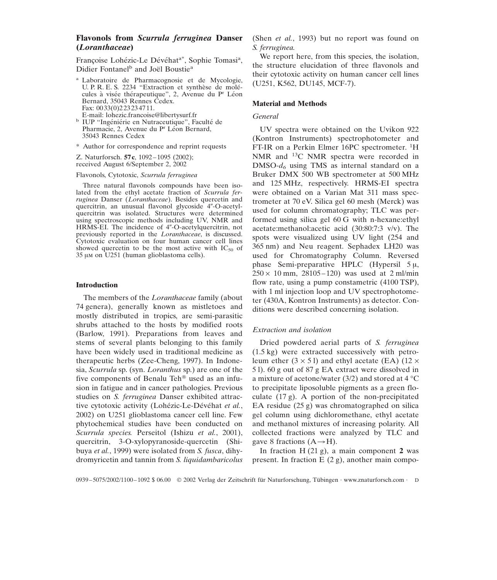# **Flavonols from** *Scurrula ferruginea* **Danser (***Loranthaceae***)**

Françoise Lohézic-Le Dévéhat<sup>a\*</sup>, Sophie Tomasi<sup>a</sup>, Didier Fontanel<sup>b</sup> and Joël Boustie<sup>a</sup>

<sup>a</sup> Laboratoire de Pharmacognosie et de Mycologie, U. P. R. E. S. 2234 "Extraction et synthèse de molécules à visée thérapeutique", 2, Avenue du Pr Léon Bernard, 35043 Rennes Cedex. Fax: 0033(0)223234711.<br>E-mail: lohezic.francoise@libertysurf.fr

- <sup>b</sup> IUP "Ingéniérie en Nutraceutique", Faculté de Pharmacie, 2, Avenue du P<sup>r</sup> Léon Bernard, 35043 Rennes Cedex
- \* Author for correspondence and reprint requests

Z. Naturforsch. **57c**, 1092–1095 (2002); received August 6/September 2, 2002

#### Flavonols, Cytotoxic, *Scurrula ferruginea*

Three natural flavonols compounds have been isolated from the ethyl acetate fraction of *Scurrula ferruginea* Danser (*Loranthaceae*). Besides quercetin and quercitrin, an unusual flavonol glycoside 4"-O-acetylquercitrin was isolated. Structures were determined using spectroscopic methods including UV, NMR and HRMS-EI. The incidence of 4"-O-acetylquercitrin, not previously reported in the *Loranthaceae*, is discussed. Cytotoxic evaluation on four human cancer cell lines showed quercetin to be the most active with  $IC_{50}$  of 35 µm on U251 (human glioblastoma cells).

### **Introduction**

The members of the *Loranthaceae* family (about 74 genera), generally known as mistletoes and mostly distributed in tropics, are semi-parasitic shrubs attached to the hosts by modified roots (Barlow, 1991). Preparations from leaves and stems of several plants belonging to this family have been widely used in traditional medicine as therapeutic herbs (Zee-Cheng, 1997). In Indonesia, *Scurrula* sp. (syn. *Loranthus* sp.) are one of the five components of Benalu Teh<sup>®</sup> used as an infusion in fatigue and in cancer pathologies. Previous studies on *S. ferruginea* Danser exhibited attractive cytotoxic activity (Lohézic-Le-Dévéhat et al., 2002) on U251 glioblastoma cancer cell line. Few phytochemical studies have been conducted on *Scurrula species.* Perseitol (Ishizu *et al.*, 2001), quercitrin, 3-O-xylopyranoside-quercetin (Shibuya *et al.*, 1999) were isolated from *S. fusca*, dihydromyricetin and tannin from *S. liquidambaricolus* (Shen *et al.*, 1993) but no report was found on *S. ferruginea.*

We report here, from this species, the isolation, the structure elucidation of three flavonols and their cytotoxic activity on human cancer cell lines (U251, K562, DU145, MCF-7).

#### **Material and Methods**

## *General*

UV spectra were obtained on the Uvikon 922 (Kontron Instruments) spectrophotometer and FT-IR on a Perkin Elmer 16PC spectrometer. <sup>1</sup>H NMR and 13C NMR spectra were recorded in DMSO-*d6* using TMS as internal standard on a Bruker DMX 500 WB spectrometer at 500 MHz and 125 MHz, respectively. HRMS-EI spectra were obtained on a Varian Mat 311 mass spectrometer at 70 eV. Silica gel 60 mesh (Merck) was used for column chromatography; TLC was performed using silica gel 60 G with n-hexane:ethyl acetate:methanol:acetic acid (30:80:7:3 v/v). The spots were visualized using UV light (254 and 365 nm) and Neu reagent. Sephadex LH20 was used for Chromatography Column. Reversed phase Semi-preparative HPLC (Hypersil 5 µ,  $250 \times 10$  mm,  $28105 - 120$ ) was used at 2 ml/min flow rate, using a pump constametric (4100 TSP), with 1 ml injection loop and UV spectrophotometer (430A, Kontron Instruments) as detector. Conditions were described concerning isolation.

### *Extraction and isolation*

Dried powdered aerial parts of *S. ferruginea* (1.5 kg) were extracted successively with petroleum ether  $(3 \times 5)$  and ethyl acetate (EA) (12  $\times$ 5 l). 60 g out of 87 g EA extract were dissolved in a mixture of acetone/water (3/2) and stored at  $4^{\circ}$ C to precipitate liposoluble pigments as a green floculate (17 g). A portion of the non-precipitated EA residue (25 g) was chromatographed on silica gel column using dichloromethane, ethyl acetate and methanol mixtures of increasing polarity. All collected fractions were analyzed by TLC and gave 8 fractions  $(A \rightarrow H)$ .

In fraction H (21 g), a main component **2** was present. In fraction  $E(2 g)$ , another main compo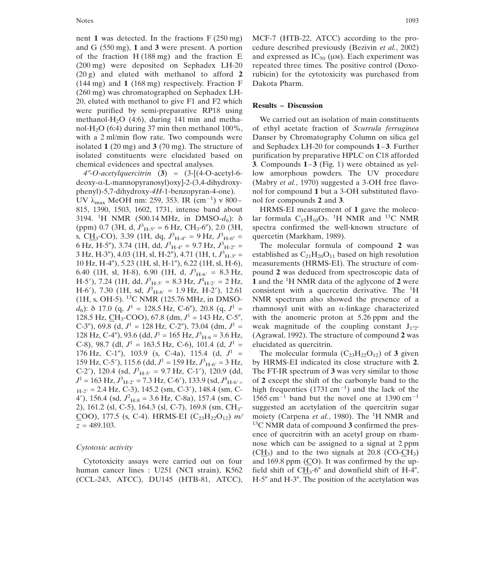nent **1** was detected. In the fractions F (250 mg) and G (550 mg), **1** and **3** were present. A portion of the fraction  $H(188 \text{ mg})$  and the fraction E (200 mg) were deposited on Sephadex LH-20 (20 g) and eluted with methanol to afford **2** (144 mg) and **1** (168 mg) respectively. Fraction F (260 mg) was chromatographed on Sephadex LH-20, eluted with methanol to give F1 and F2 which were purified by semi-preparative RP18 using methanol-H<sub>2</sub>O (4:6), during 141 min and methanol-H<sub>2</sub>O (6:4) during 37 min then methanol 100%, with a 2 ml/min flow rate. Two compounds were isolated **1** (20 mg) and **3** (70 mg). The structure of isolated constituents were elucidated based on chemical evidences and spectral analyses.

*4-O-acetylquercitrin* (**3**) = (3-[(4-O-acetyl-6 deoxy-α-L-mannopyranosyl)oxy]-2-(3,4-dihydroxyphenyl)-5,7-dihydroxy-*4H*-1-benzopyran-4-one). UV  $\lambda_{\text{max}}$  MeOH nm: 259, 353. IR (cm<sup>-1</sup>) v 800-815, 1390, 1503, 1602, 1731, intense band about 3194. <sup>1</sup> H NMR (500.14 MHz, in DMSO-*d6*): δ (ppm) 0.7 (3H, d,  $J_{\text{H-5''}}^3$  = 6 Hz, CH<sub>3</sub>-6"), 2.0 (3H, s, C<u>H</u><sub>3</sub>-CO), 3.39 (1H, dq,  $J_{H-4''}^3 = 9$  Hz,  $J_{H-6''}^3 =$ 6 Hz, H-5"), 3.74 (1H, dd,  $J_{\text{H-4}''}^3 = 9.7 \text{ Hz}, J_{\text{H-2}''}^3 = 1$ 3 Hz, H-3"), 4.03 (1H, sl, H-2"), 4.71 (1H, t,  $J^3$ <sub>H-3"</sub> = 10 Hz, H-4"), 5.23 (1H, sl, H-1"), 6.22 (1H, sl, H-6), 6.40 (1H, sl, H-8), 6.90 (1H, d,  $J_{H-6'}^3 = 8.3$  Hz, H-5'), 7.24 (1H, dd,  $J_{\text{H-5'}}^3 = 8.3 \text{ Hz}, J_{\text{H-2'}}^4 = 2 \text{ Hz},$ H-6'), 7.30 (1H, sd,  $J_{H-6'}^3 = 1.9$  Hz, H-2'), 12.61 (1H, s, OH-5). 13C NMR (125.76 MHz, in DMSO $d_6$ ): δ 17.0 (q,  $J^1 = 128.5$  Hz, C-6"), 20.8 (q,  $J^1 =$ 128.5 Hz,  $CH_3$ -COO), 67.8 (dm,  $J^1$  = 143 Hz, C-5", C-3"), 69.8 (d,  $J^1 = 128$  Hz, C-2"), 73.04 (dm,  $J^1 =$ 128 Hz, C-4"), 93.6 (dd,  $J^1 = 165$  Hz,  $J^3$ <sub>H-6</sub> = 3.6 Hz, C-8), 98.7 (dl,  $J^1 = 163.5$  Hz, C-6), 101.4 (d,  $J^1 =$ 176 Hz, C-1"), 103.9 (s, C-4a), 115.4 (d,  $J^1$  = 159 Hz, C-5'), 115.6 (dd,  $J^1 = 159$  Hz,  $J^3$ <sub>H-6'</sub> = 3 Hz, C-2'), 120.4 (sd,  $J_{\text{H-5'}}^3$  = 9.7 Hz, C-1'), 120.9 (dd,  $J^1 = 163$  Hz,  $J^3$ <sub>H-2</sub><sup> $\cdot$ </sup> = 7.3 Hz, C-6<sup>'</sup>), 133.9 (sd,  $J^4$ <sub>H-6<sup>'</sup> =</sub>  $_{\text{H-2'}}$  = 2.4 Hz, C-3), 145.2 (sm, C-3'), 148.4 (sm, C-4'), 156.4 (sd,  $J_{\text{H-8}}^2$  = 3.6 Hz, C-8a), 157.4 (sm, C-2), 161.2 (sl, C-5), 164.3 (sl, C-7), 169.8 (sm, CH3- COO), 177.5 (s, C-4). HRMS-EI  $(C_{23}H_{22}O_{12})$  *m*/ *z* = 489.103.

#### *Cytotoxic activity*

Cytotoxicity assays were carried out on four human cancer lines : U251 (NCI strain), K562 (CCL-243, ATCC), DU145 (HTB-81, ATCC),

MCF-7 (HTB-22, ATCC) according to the procedure described previously (Bezivin *et al.*, 2002) and expressed as  $IC_{50}$  ( $µ$ m). Each experiment was repeated three times. The positive control (Doxorubicin) for the cytotoxicity was purchased from Dakota Pharm.

## **Results** – **Discussion**

We carried out an isolation of main constituents of ethyl acetate fraction of *Scurrula ferruginea* Danser by Chromatography Column on silica gel and Sephadex LH-20 for compounds 1–3. Further purification by preparative HPLC on C18 afforded **3**. Compounds **1–3** (Fig. 1) were obtained as yellow amorphous powders. The UV procedure (Mabry *et al.*, 1970) suggested a 3-OH free flavonol for compound **1** but a 3-OH substituted flavonol for compounds **2** and **3**.

HRMS-EI measurement of **1** gave the molecular formula  $C_{15}H_{10}O_7$ . <sup>1</sup>H NMR and <sup>13</sup>C NMR spectra confirmed the well-known structure of quercetin (Markham, 1989).

The molecular formula of compound **2** was established as  $C_{21}H_{20}O_{11}$  based on high resolution measurements (HRMS-EI). The structure of compound **2** was deduced from spectroscopic data of **1** and the <sup>1</sup> H NMR data of the aglycone of **2** were consistent with a quercetin derivative. The <sup>1</sup>H NMR spectrum also showed the presence of a rhamnosyl unit with an α-linkage characterized with the anomeric proton at 5.26 ppm and the weak magnitude of the coupling constant  $J_{1/2}$ (Agrawal, 1992). The structure of compound **2** was elucidated as quercitrin.

The molecular formula  $(C_{23}H_{22}O_{12})$  of **3** given by HRMS-EI indicated its close structure with **2**. The FT-IR spectrum of **3** was very similar to those of **2** except the shift of the carbonyle band to the high frequenties  $(1731 \text{ cm}^{-1})$  and the lack of the  $1565$  cm<sup>-1</sup> band but the novel one at 1390 cm<sup>-1</sup> suggested an acetylation of the quercitrin sugar moiety (Carpena et al., 1980). The <sup>1</sup>H NMR and 13C NMR data of compound **3** confirmed the presence of quercitrin with an acetyl group on rhamnose which can be assigned to a signal at 2 ppm  $(CH<sub>3</sub>)$  and to the two signals at 20.8 (CO-CH<sub>3</sub>) and 169.8 ppm  $(CO)$ . It was confirmed by the upfield shift of  $CH_3$ -6" and downfield shift of H-4",  $H-5''$  and  $H-3''$ . The position of the acetylation was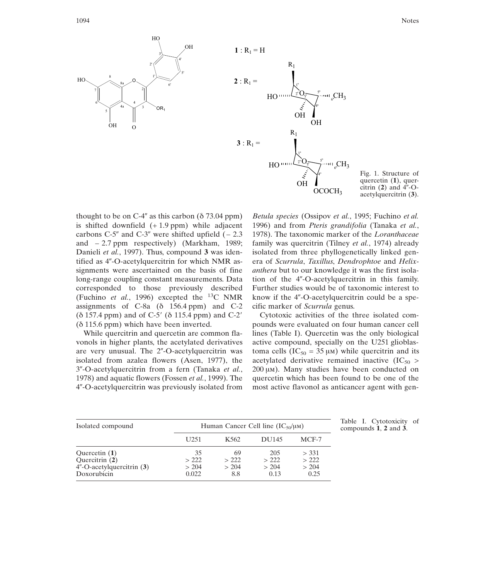



Fig. 1. Structure of quercetin (**1**), quer- $\tilde{\text{cl}}$ trin (2) and  $4^{\prime\prime}$ -Oacetylquercitrin (**3**).

thought to be on C-4" as this carbon ( $\delta$  73.04 ppm) is shifted downfield  $(+1.9$  ppm) while adjacent carbons  $C-5$ " and  $C-3$ " were shifted upfield  $(-2.3)$ and  $-2.7$  ppm respectively) (Markham, 1989; Danieli *et al.*, 1997). Thus, compound **3** was identified as 4"-O-acetylquercitrin for which NMR assignments were ascertained on the basis of fine long-range coupling constant measurements. Data corresponded to those previously described (Fuchino *et al.*, 1996) excepted the 13C NMR assignments of C-8a (δ 156.4 ppm) and C-2  $(\delta 157.4 \text{ ppm})$  and of C-5'  $(\delta 115.4 \text{ ppm})$  and C-2' (δ 115.6 ppm) which have been inverted.

While quercitrin and quercetin are common flavonols in higher plants, the acetylated derivatives are very unusual. The 2"-O-acetylquercitrin was isolated from azalea flowers (Asen, 1977), the 3-O-acetylquercitrin from a fern (Tanaka *et al.*, 1978) and aquatic flowers (Fossen *et al.*, 1999). The 4-O-acetylquercitrin was previously isolated from

*Betula species* (Ossipov *et al.*, 1995; Fuchino *et al.* 1996) and from *Pteris grandifolia* (Tanaka *et al.*, 1978). The taxonomic marker of the *Loranthaceae* family was quercitrin (Tilney *et al.*, 1974) already isolated from three phyllogenetically linked genera of *Scurrula*, *Taxillus*, *Dendrophtoe* and *Helixanthera* but to our knowledge it was the first isolation of the 4"-O-acetylquercitrin in this family. Further studies would be of taxonomic interest to know if the  $4$ "-O-acetylquercitrin could be a specific marker of *Scurrula* genus.

Cytotoxic activities of the three isolated compounds were evaluated on four human cancer cell lines (Table I). Quercetin was the only biological active compound, specially on the U251 glioblastoma cells ( $IC_{50} = 35 \mu M$ ) while quercitrin and its acetylated derivative remained inactive  $(IC_{50} >$  $200 \mu M$ ). Many studies have been conducted on quercetin which has been found to be one of the most active flavonol as anticancer agent with gen-

| Isolated compound                                                             | Human Cancer Cell line $(IC_{50}/\mu M)$ |                            |                              |                                |
|-------------------------------------------------------------------------------|------------------------------------------|----------------------------|------------------------------|--------------------------------|
|                                                                               | U <sub>251</sub>                         | K <sub>562</sub>           | DU145                        | MCF-7                          |
| Quercetin $(1)$<br>Quercitrin (2)<br>4"-O-acetylquercitrin (3)<br>Doxorubicin | 35<br>>222<br>> 204<br>0.022             | 69<br>>222<br>> 204<br>8.8 | 205<br>>222<br>> 204<br>0.13 | > 331<br>>222<br>> 204<br>0.25 |

Table I. Cytotoxicity of compounds **1**, **2** and **3**.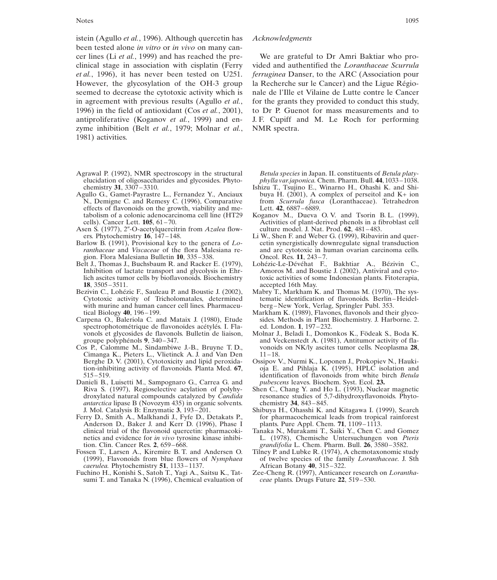istein (Agullo *et al.*, 1996). Although quercetin has been tested alone *in vitro* or *in vivo* on many cancer lines (Li *et al.*, 1999) and has reached the preclinical stage in association with cisplatin (Ferry *et al.*, 1996), it has never been tested on U251. However, the glycosylation of the OH-3 group seemed to decrease the cytotoxic activity which is in agreement with previous results (Agullo *et al.*, 1996) in the field of antioxidant (Cos *et al.*, 2001), antiproliferative (Koganov *et al.*, 1999) and enzyme inhibition (Belt *et al.*, 1979; Molnar *et al.*, 1981) activities.

- Agrawal P. (1992), NMR spectroscopy in the structural *Betula species* in Japan. II. constituents of *Betula platy*elucidation of oligosaccharides and glycosides. Phyto-<br>chemistry **31**, 3307–3310. **Ishizu T. Tsuiino E., Winarno H., Ohashi K. and Shi-**
- N., Demigne C. and Remesy C. (1996), Comparative from *Scurrula fusc* effects of flavonoids on the growth, viability and me-<br>Lett. **42**, 6887–6889. effects of flavonoids on the growth, viability and me-<br>tabolism of a colonic adenocarcinoma cell line (HT29 Koganov M., Dueva O.V. and Tsorin B.L. (1999), tabolism of a colonic adenocarcinoma cell line (HT29 cells). Cancer Lett.  $105$ , 61-70.
- Asen S. (1977), 2<sup>*r*</sup>-O-acetylquercitrin from *Azalea* flowers. Phytochemistry **16**, 147–148.
- Barlow B. (1991), Provisional key to the genera of *Lo- ranthaceae* and *Viscaceae* of the flora Malesiana region. Flora Malesiana Bulletin **10**, 335–338.
- Belt J., Thomas J., Buchsbaum R. and Racker E. (1979), Lohézic-Le-Dévéhat F., Bakhtiar A., Bézivin C.,
- **18**, 3505–3511. accepted 16th May.<br>Bezivin C., Lohézic F., Sauleau P. and Boustie J. (2002), Mabry T., Markham K ezivin C., Lohézic F., Sauleau P. and Boustie J. (2002), Mabry T., Markham K. and Thomas M. (1970), The sys-<br>Cytotoxic activity of Tricholomatales, determined tematic identification of flavonoids. Berlin–Heidelwith murine and human cancer cell lines. Pharmaceutical Biology  $40$ , 196-199.
- Carpena O., Baleriola C. and Mataix J. (1980), Etude sides. Methods in Plant spectrophotométrique de flavonoides acétylés. I. Fla- ed. London. 1, 197–232. spectrophotométrique de flavonoides acétylés. I. Fla-
- Cos P., Calomme M., Sindambiwe J.-B., Bruyne T.D., Cimanga K., Pieters L., Vlietinck A. J. and Van Den 11–18.<br>Berghe D. V. (2001), Cytotoxicity and lipid peroxida-<br>Ossipov V., Nurmi K., Loponen J., Prokopiev N., Hauki-Berghe D. V. (2001), Cytotoxicity and lipid peroxida-
- Danieli B., Luisetti M., Sampognaro G., Carrea G. and *Riva S. (1997)*, *Regioselective acylation of polyhy-*Riva S. (1997), Regioselective acylation of polyhy-<br>droxylated natural compounds catalyzed by *Candida* resonance studies of 5.7-dihydroxyflavonoids. Phyto*antarctica* lipase B (Novozym 435) in organic solvents.<br>J. Mol. Catalysis B: Enzymatic 3, 193–201.
- Ferry D., Smith A., Malkhandi J., Fyfe D., Detakats P., for pharmacochemical leads from tropical Anderson D., Baker J. and Kerr D. (1996), Phase I plants. Pure Appl. Chem. 71, 1109–1113. Anderson D., Baker J. and Kerr D. (1996), Phase I
- Fossen T., Larsen A., Kiremire B. T. and Andersen O. Tilney P. and Lubke R. (1974), A chemotaxonomic study (1999), Flavonoids from blue flowers of *Nymphaea* of twelve species of the family *Loranthaceae*. J. Sth *caerulea*. Phytochemistry 51, 1133-1137.<br>Fuchino H., Konishi S., Satoh T., Yagi A., Saitsu K., Tat-
- sumi T. and Tanaka N. (1996), Chemical evaluation of

#### *Acknowledgments*

We are grateful to Dr Amri Baktiar who provided and authentified the *Loranthaceae Scurrula ferruginea* Danser, to the ARC (Association pour la Recherche sur le Cancer) and the Ligue Régionale de l'Ille et Vilaine de Lutte contre le Cancer for the grants they provided to conduct this study, to Dr P. Guenot for mass measurements and to J. F. Cupiff and M. Le Roch for performing NMR spectra.

- Ishizu T., Tsujino E., Winarno H., Ohashi K. and Shi-Agullo G., Gamet-Payrastre L., Fernandez Y., Anciaux buya H. (2001), A complex of perseitol and K+ ion<br>N., Demigne C. and Remesy C. (1996), Comparative from *Scurrula fusca* (Loranthaceae). Tetrahedron
	- Activities of plant-derived phenols in a fibroblast cell culture model. J. Nat. Prod. **62**, 481–483.
	- Li W., Shen F. and Weber G. (1999), Ribavirin and quer-<br>cetin synergistically downregulate signal transduction *and are cytotoxic in human ovarian carcinoma cells.* Oncol. Res. **11**, 243-7.
	- Inhibition of lactate transport and glycolysis in Ehr-<br>
	lich ascites tumor cells by bioflavonoids. Biochemistry<br>
	toxic activities of some Indonesian plants. Fitoterapia, lich ascites tumor cells by bioflavonoids. Biochemistry toxic activities of some Indonesian plants. Fitoterapia,<br>
	18, 3505–3511.
		- tematic identification of flavonoids. Berlin–Heidelberg–New York, Verlag, Springler Publ. 353.
		- Markham K. (1989), Flavones, flavonols and their glycosides. Methods in Plant Biochemistry. J. Harborne. 2.
	- vonols et glycosides de flavonols. Bulletin de liaison, Molnar J., Beladi I., Domonkos K., Födeak S., Boda K. aroupe polyphénols 9, 340–347. and Veckenstedt A. (1981), Antitumor activity of flaand Veckenstedt A. (1981), Antitumor activity of fla-<br>vonoids on NK/ly ascites tumor cells. Neoplasma 28,
	- tion-inhibiting activity of flavonoids. Planta Med. **67**, oja E. and Pihlaja K. (1995), HPLC isolation and 515–519. identification of flavonoids from white birch *Betula pubescens* leaves. Biochem. Syst. Ecol. 23.
		- resonance studies of 5,7-dihydroxyflavonoids. Phyto-<br>chemistry 34, 843–845.
		- Shibuya H., Ohasshi K. and Kitagawa I. (1999), Search for pharmacochemical leads from tropical rainforest
	- clinical trial of the flavonoid quercetin: pharmacoki- Tanaka N., Murakami T., Saiki Y., Chen C. and Gomez netics and evidence for *in vivo* tyrosine kinase inhibi-<br>
	L. (1978), Chemische Untersuchungen von *Pteris*<br> *grandifolia* L. Chem. Pharm. Bull. **26**, 3580–3582. grandifolia L. Chem. Pharm. Bull. **26**, 3580–3582.
		- of twelve species of the family *Loranthaceae*. J. Sth<br>African Botany 40, 315–322.
		- Zee-Cheng R. (1997), Anticancer research on *Lorantha-*<br>ceae plants. Drugs Future **22**, 519–530.